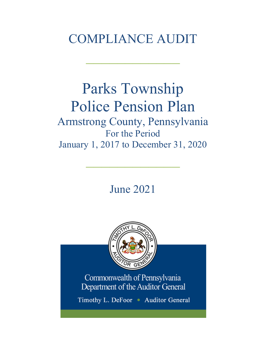# COMPLIANCE AUDIT

 $\frac{1}{2}$ 

## Parks Township Police Pension Plan Armstrong County, Pennsylvania For the Period January 1, 2017 to December 31, 2020

June 2021

 $\frac{1}{2}$ 



Commonwealth of Pennsylvania Department of the Auditor General

Timothy L. DeFoor • Auditor General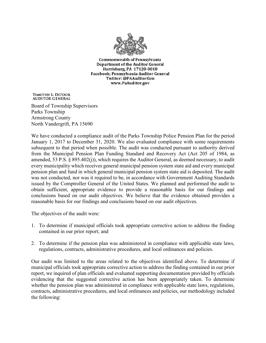

**Commonwealth of Pennsylvania** Department of the Auditor General Harrisburg, PA 17120-0018 Facebook: Pennsylvania Auditor General Twitter: @PAAuditorGen www.PaAuditor.gov

TIMOTHY L. DEFOOR **AUDITOR GENERAL** 

Board of Township Supervisors Parks Township Armstrong County North Vandergrift, PA 15690

We have conducted a compliance audit of the Parks Township Police Pension Plan for the period January 1, 2017 to December 31, 2020. We also evaluated compliance with some requirements subsequent to that period when possible. The audit was conducted pursuant to authority derived from the Municipal Pension Plan Funding Standard and Recovery Act (Act 205 of 1984, as amended, 53 P.S. § 895.402(j)), which requires the Auditor General, as deemed necessary, to audit every municipality which receives general municipal pension system state aid and every municipal pension plan and fund in which general municipal pension system state aid is deposited. The audit was not conducted, nor was it required to be, in accordance with Government Auditing Standards issued by the Comptroller General of the United States. We planned and performed the audit to obtain sufficient, appropriate evidence to provide a reasonable basis for our findings and conclusions based on our audit objectives. We believe that the evidence obtained provides a reasonable basis for our findings and conclusions based on our audit objectives.

The objectives of the audit were:

- 1. To determine if municipal officials took appropriate corrective action to address the finding contained in our prior report; and
- 2. To determine if the pension plan was administered in compliance with applicable state laws, regulations, contracts, administrative procedures, and local ordinances and policies.

Our audit was limited to the areas related to the objectives identified above. To determine if municipal officials took appropriate corrective action to address the finding contained in our prior report, we inquired of plan officials and evaluated supporting documentation provided by officials evidencing that the suggested corrective action has been appropriately taken. To determine whether the pension plan was administered in compliance with applicable state laws, regulations, contracts, administrative procedures, and local ordinances and policies, our methodology included the following: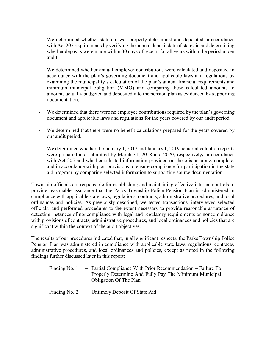- ⋅ We determined whether state aid was properly determined and deposited in accordance with Act 205 requirements by verifying the annual deposit date of state aid and determining whether deposits were made within 30 days of receipt for all years within the period under audit.
- We determined whether annual employer contributions were calculated and deposited in accordance with the plan's governing document and applicable laws and regulations by examining the municipality's calculation of the plan's annual financial requirements and minimum municipal obligation (MMO) and comparing these calculated amounts to amounts actually budgeted and deposited into the pension plan as evidenced by supporting documentation.
- We determined that there were no employee contributions required by the plan's governing document and applicable laws and regulations for the years covered by our audit period.
- ⋅ We determined that there were no benefit calculations prepared for the years covered by our audit period.
- We determined whether the January 1, 2017 and January 1, 2019 actuarial valuation reports were prepared and submitted by March 31, 2018 and 2020, respectively**,** in accordance with Act 205 and whether selected information provided on these is accurate, complete, and in accordance with plan provisions to ensure compliance for participation in the state aid program by comparing selected information to supporting source documentation.

Township officials are responsible for establishing and maintaining effective internal controls to provide reasonable assurance that the Parks Township Police Pension Plan is administered in compliance with applicable state laws, regulations, contracts, administrative procedures, and local ordinances and policies. As previously described, we tested transactions, interviewed selected officials, and performed procedures to the extent necessary to provide reasonable assurance of detecting instances of noncompliance with legal and regulatory requirements or noncompliance with provisions of contracts, administrative procedures, and local ordinances and policies that are significant within the context of the audit objectives.

The results of our procedures indicated that, in all significant respects, the Parks Township Police Pension Plan was administered in compliance with applicable state laws, regulations, contracts, administrative procedures, and local ordinances and policies, except as noted in the following findings further discussed later in this report:

| Finding No. 1 – Partial Compliance With Prior Recommendation – Failure To |
|---------------------------------------------------------------------------|
| Properly Determine And Fully Pay The Minimum Municipal                    |
| <b>Obligation Of The Plan</b>                                             |

Finding No. 2 – Untimely Deposit Of State Aid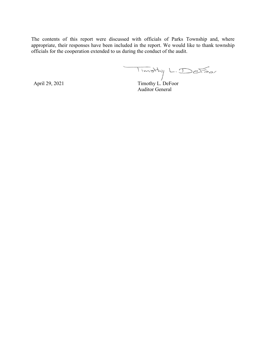The contents of this report were discussed with officials of Parks Township and, where appropriate, their responses have been included in the report. We would like to thank township officials for the cooperation extended to us during the conduct of the audit.

Timothy L. Detoor

April 29, 2021 Timothy L. DeFoor Auditor General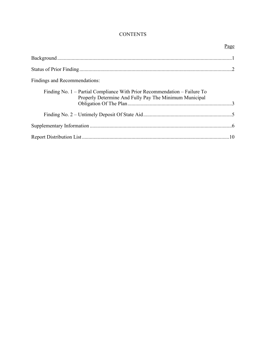## **CONTENTS**

|                                                                                                                                     | Page |
|-------------------------------------------------------------------------------------------------------------------------------------|------|
|                                                                                                                                     |      |
|                                                                                                                                     |      |
| Findings and Recommendations:                                                                                                       |      |
| Finding No. 1 – Partial Compliance With Prior Recommendation – Failure To<br>Properly Determine And Fully Pay The Minimum Municipal |      |
|                                                                                                                                     |      |
|                                                                                                                                     |      |
|                                                                                                                                     |      |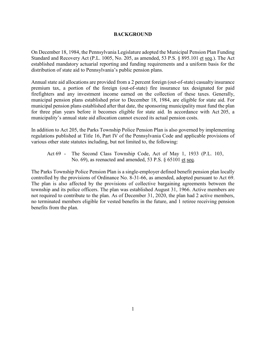#### **BACKGROUND**

On December 18, 1984, the Pennsylvania Legislature adopted the Municipal Pension Plan Funding Standard and Recovery Act (P.L. 1005, No. 205, as amended, 53 P.S. § 895.101 et seq.). The Act established mandatory actuarial reporting and funding requirements and a uniform basis for the distribution of state aid to Pennsylvania's public pension plans.

Annual state aid allocations are provided from a 2 percent foreign (out-of-state) casualty insurance premium tax, a portion of the foreign (out-of-state) fire insurance tax designated for paid firefighters and any investment income earned on the collection of these taxes. Generally, municipal pension plans established prior to December 18, 1984, are eligible for state aid. For municipal pension plans established after that date, the sponsoring municipality must fund the plan for three plan years before it becomes eligible for state aid. In accordance with Act 205, a municipality's annual state aid allocation cannot exceed its actual pension costs.

In addition to Act 205, the Parks Township Police Pension Plan is also governed by implementing regulations published at Title 16, Part IV of the Pennsylvania Code and applicable provisions of various other state statutes including, but not limited to, the following:

Act 69 - The Second Class Township Code, Act of May 1, 1933 (P.L. 103, No. 69), as reenacted and amended, 53 P.S. § 65101 et seq.

The Parks Township Police Pension Plan is a single-employer defined benefit pension plan locally controlled by the provisions of Ordinance No. 8-31-66, as amended, adopted pursuant to Act 69. The plan is also affected by the provisions of collective bargaining agreements between the township and its police officers. The plan was established August 31, 1966. Active members are not required to contribute to the plan. As of December 31, 2020, the plan had 2 active members, no terminated members eligible for vested benefits in the future, and 1 retiree receiving pension benefits from the plan.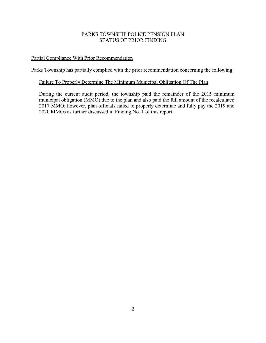## PARKS TOWNSHIP POLICE PENSION PLAN STATUS OF PRIOR FINDING

## Partial Compliance With Prior Recommendation

Parks Township has partially complied with the prior recommendation concerning the following:

## ∙ Failure To Properly Determine The Minimum Municipal Obligation Of The Plan

During the current audit period, the township paid the remainder of the 2015 minimum municipal obligation (MMO) due to the plan and also paid the full amount of the recalculated 2017 MMO; however, plan officials failed to properly determine and fully pay the 2019 and 2020 MMOs as further discussed in Finding No. 1 of this report.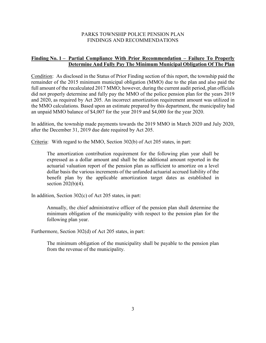#### PARKS TOWNSHIP POLICE PENSION PLAN FINDINGS AND RECOMMENDATIONS

### **Finding No. 1 – Partial Compliance With Prior Recommendation – Failure To Properly Determine And Fully Pay The Minimum Municipal Obligation Of The Plan**

Condition: As disclosed in the Status of Prior Finding section of this report, the township paid the remainder of the 2015 minimum municipal obligation (MMO) due to the plan and also paid the full amount of the recalculated 2017 MMO; however, during the current audit period, plan officials did not properly determine and fully pay the MMO of the police pension plan for the years 2019 and 2020, as required by Act 205. An incorrect amortization requirement amount was utilized in the MMO calculations. Based upon an estimate prepared by this department, the municipality had an unpaid MMO balance of \$4,007 for the year 2019 and \$4,000 for the year 2020.

In addition, the township made payments towards the 2019 MMO in March 2020 and July 2020, after the December 31, 2019 due date required by Act 205.

Criteria: With regard to the MMO, Section 302(b) of Act 205 states, in part:

The amortization contribution requirement for the following plan year shall be expressed as a dollar amount and shall be the additional amount reported in the actuarial valuation report of the pension plan as sufficient to amortize on a level dollar basis the various increments of the unfunded actuarial accrued liability of the benefit plan by the applicable amortization target dates as established in section  $202(b)(4)$ .

In addition, Section 302(c) of Act 205 states, in part:

Annually, the chief administrative officer of the pension plan shall determine the minimum obligation of the municipality with respect to the pension plan for the following plan year.

Furthermore, Section 302(d) of Act 205 states, in part:

The minimum obligation of the municipality shall be payable to the pension plan from the revenue of the municipality.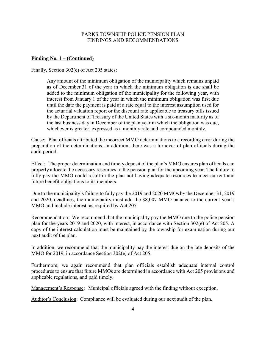#### PARKS TOWNSHIP POLICE PENSION PLAN FINDINGS AND RECOMMENDATIONS

#### **Finding No. 1 – (Continued)**

Finally, Section 302(e) of Act 205 states:

Any amount of the minimum obligation of the municipality which remains unpaid as of December 31 of the year in which the minimum obligation is due shall be added to the minimum obligation of the municipality for the following year, with interest from January 1 of the year in which the minimum obligation was first due until the date the payment is paid at a rate equal to the interest assumption used for the actuarial valuation report or the discount rate applicable to treasury bills issued by the Department of Treasury of the United States with a six-month maturity as of the last business day in December of the plan year in which the obligation was due, whichever is greater, expressed as a monthly rate and compounded monthly.

Cause: Plan officials attributed the incorrect MMO determinations to a recording error during the preparation of the determinations. In addition, there was a turnover of plan officials during the audit period.

Effect: The proper determination and timely deposit of the plan's MMO ensures plan officials can properly allocate the necessary resources to the pension plan for the upcoming year. The failure to fully pay the MMO could result in the plan not having adequate resources to meet current and future benefit obligations to its members.

Due to the municipality's failure to fully pay the 2019 and 2020 MMOs by the December 31, 2019 and 2020, deadlines, the municipality must add the \$8,007 MMO balance to the current year's MMO and include interest, as required by Act 205.

Recommendation: We recommend that the municipality pay the MMO due to the police pension plan for the years 2019 and 2020, with interest, in accordance with Section 302(e) of Act 205. A copy of the interest calculation must be maintained by the township for examination during our next audit of the plan.

In addition, we recommend that the municipality pay the interest due on the late deposits of the MMO for 2019, in accordance Section 302(e) of Act 205.

Furthermore, we again recommend that plan officials establish adequate internal control procedures to ensure that future MMOs are determined in accordance with Act 205 provisions and applicable regulations, and paid timely.

Management's Response: Municipal officials agreed with the finding without exception.

Auditor's Conclusion: Compliance will be evaluated during our next audit of the plan.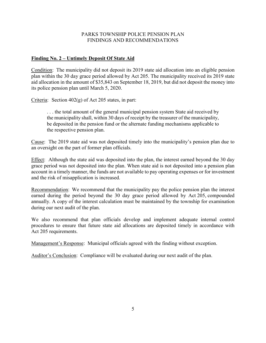### PARKS TOWNSHIP POLICE PENSION PLAN FINDINGS AND RECOMMENDATIONS

## **Finding No. 2 – Untimely Deposit Of State Aid**

Condition: The municipality did not deposit its 2019 state aid allocation into an eligible pension plan within the 30 day grace period allowed by Act 205. The municipality received its 2019 state aid allocation in the amount of \$35,843 on September 18, 2019, but did not deposit the money into its police pension plan until March 5, 2020.

Criteria: Section 402(g) of Act 205 states, in part:

. . . the total amount of the general municipal pension system State aid received by the municipality shall, within 30 days of receipt by the treasurer of the municipality, be deposited in the pension fund or the alternate funding mechanisms applicable to the respective pension plan.

Cause: The 2019 state aid was not deposited timely into the municipality's pension plan due to an oversight on the part of former plan officials.

Effect: Although the state aid was deposited into the plan, the interest earned beyond the 30 day grace period was not deposited into the plan. When state aid is not deposited into a pension plan account in a timely manner, the funds are not available to pay operating expenses or for investment and the risk of misapplication is increased.

Recommendation: We recommend that the municipality pay the police pension plan the interest earned during the period beyond the 30 day grace period allowed by Act 205, compounded annually. A copy of the interest calculation must be maintained by the township for examination during our next audit of the plan.

We also recommend that plan officials develop and implement adequate internal control procedures to ensure that future state aid allocations are deposited timely in accordance with Act 205 requirements.

Management's Response: Municipal officials agreed with the finding without exception.

Auditor's Conclusion: Compliance will be evaluated during our next audit of the plan.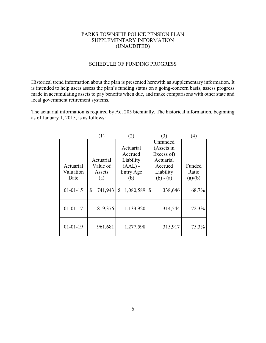### PARKS TOWNSHIP POLICE PENSION PLAN SUPPLEMENTARY INFORMATION (UNAUDITED)

#### SCHEDULE OF FUNDING PROGRESS

Historical trend information about the plan is presented herewith as supplementary information. It is intended to help users assess the plan's funding status on a going-concern basis, assess progress made in accumulating assets to pay benefits when due, and make comparisons with other state and local government retirement systems.

The actuarial information is required by Act 205 biennially. The historical information, beginning as of January 1, 2015, is as follows:

|                | (1)           | $\left( 2\right)$ | 3)            | $\left( 4\right)$ |
|----------------|---------------|-------------------|---------------|-------------------|
|                |               |                   | Unfunded      |                   |
|                |               | Actuarial         | (Assets in    |                   |
|                |               | Accrued           | Excess of)    |                   |
|                | Actuarial     | Liability         | Actuarial     |                   |
| Actuarial      | Value of      | $(AAL)$ -         | Accrued       | Funded            |
| Valuation      | Assets        | Entry Age         | Liability     | Ratio             |
| Date           | (a)           | (b)               | $(b) - (a)$   | (a)/(b)           |
| $01 - 01 - 15$ | 741,943<br>\$ | 1,080,589<br>\$   | \$<br>338,646 | 68.7%             |
| $01 - 01 - 17$ | 819,376       | 1,133,920         | 314,544       | 72.3%             |
| $01 - 01 - 19$ | 961,681       | 1,277,598         | 315,917       | 75.3%             |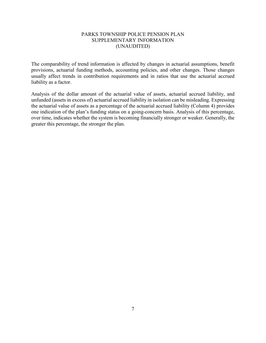#### PARKS TOWNSHIP POLICE PENSION PLAN SUPPLEMENTARY INFORMATION (UNAUDITED)

The comparability of trend information is affected by changes in actuarial assumptions, benefit provisions, actuarial funding methods, accounting policies, and other changes. Those changes usually affect trends in contribution requirements and in ratios that use the actuarial accrued liability as a factor.

Analysis of the dollar amount of the actuarial value of assets, actuarial accrued liability, and unfunded (assets in excess of) actuarial accrued liability in isolation can be misleading. Expressing the actuarial value of assets as a percentage of the actuarial accrued liability (Column 4) provides one indication of the plan's funding status on a going-concern basis. Analysis of this percentage, over time, indicates whether the system is becoming financially stronger or weaker. Generally, the greater this percentage, the stronger the plan.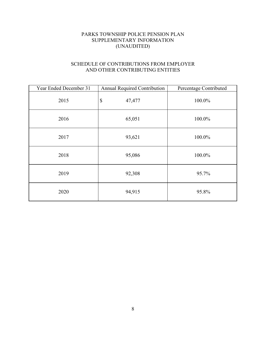## PARKS TOWNSHIP POLICE PENSION PLAN SUPPLEMENTARY INFORMATION (UNAUDITED)

## SCHEDULE OF CONTRIBUTIONS FROM EMPLOYER AND OTHER CONTRIBUTING ENTITIES

| Year Ended December 31 | <b>Annual Required Contribution</b> | Percentage Contributed |
|------------------------|-------------------------------------|------------------------|
| 2015                   | $\boldsymbol{\mathsf{S}}$<br>47,477 | 100.0%                 |
| 2016                   | 65,051                              | 100.0%                 |
| 2017                   | 93,621                              | 100.0%                 |
| 2018                   | 95,086                              | 100.0%                 |
| 2019                   | 92,308                              | 95.7%                  |
| 2020                   | 94,915                              | 95.8%                  |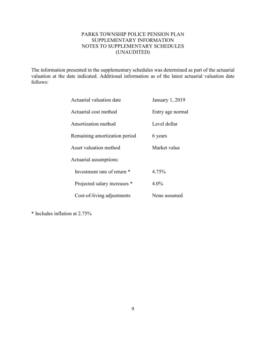## PARKS TOWNSHIP POLICE PENSION PLAN SUPPLEMENTARY INFORMATION NOTES TO SUPPLEMENTARY SCHEDULES (UNAUDITED)

The information presented in the supplementary schedules was determined as part of the actuarial valuation at the date indicated. Additional information as of the latest actuarial valuation date follows:

| Actuarial valuation date      | January 1, 2019  |
|-------------------------------|------------------|
| Actuarial cost method         | Entry age normal |
| Amortization method           | Level dollar     |
| Remaining amortization period | 6 years          |
| Asset valuation method        | Market value     |
| Actuarial assumptions:        |                  |
| Investment rate of return *   | 4.75%            |
| Projected salary increases *  | $4.0\%$          |
| Cost-of-living adjustments    | None assumed     |

\* Includes inflation at 2.75%